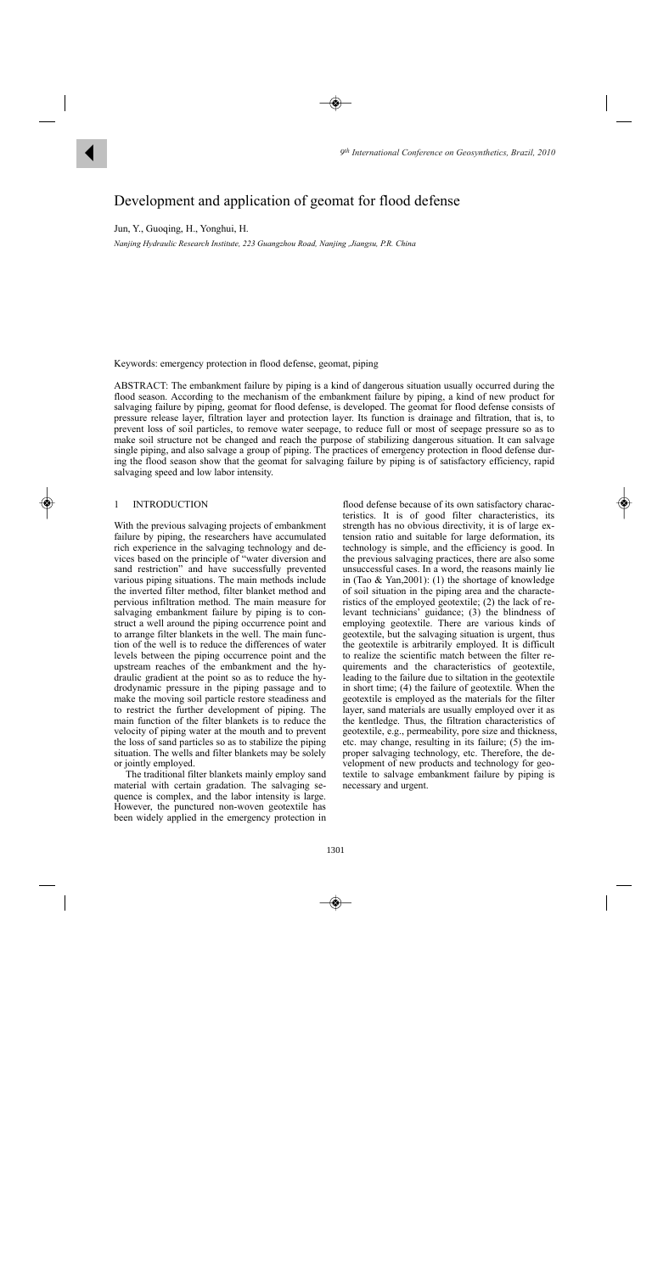

# Development and application of geomat for flood defense

Jun, Y., Guoqing, H., Yonghui, H.

*Nanjing Hydraulic Research Institute, 223 Guangzhou Road, Nanjing ,Jiangsu, P.R. China* 

Keywords: emergency protection in flood defense, geomat, piping

ABSTRACT: The embankment failure by piping is a kind of dangerous situation usually occurred during the flood season. According to the mechanism of the embankment failure by piping, a kind of new product for salvaging failure by piping, geomat for flood defense, is developed. The geomat for flood defense consists of pressure release layer, filtration layer and protection layer. Its function is drainage and filtration, that is, to prevent loss of soil particles, to remove water seepage, to reduce full or most of seepage pressure so as to make soil structure not be changed and reach the purpose of stabilizing dangerous situation. It can salvage single piping, and also salvage a group of piping. The practices of emergency protection in flood defense during the flood season show that the geomat for salvaging failure by piping is of satisfactory efficiency, rapid salvaging speed and low labor intensity.

# 1 INTRODUCTION

With the previous salvaging projects of embankment failure by piping, the researchers have accumulated rich experience in the salvaging technology and devices based on the principle of "water diversion and sand restriction" and have successfully prevented various piping situations. The main methods include the inverted filter method, filter blanket method and pervious infiltration method. The main measure for salvaging embankment failure by piping is to construct a well around the piping occurrence point and to arrange filter blankets in the well. The main function of the well is to reduce the differences of water levels between the piping occurrence point and the upstream reaches of the embankment and the hydraulic gradient at the point so as to reduce the hydrodynamic pressure in the piping passage and to make the moving soil particle restore steadiness and to restrict the further development of piping. The main function of the filter blankets is to reduce the velocity of piping water at the mouth and to prevent the loss of sand particles so as to stabilize the piping situation. The wells and filter blankets may be solely or jointly employed.

The traditional filter blankets mainly employ sand material with certain gradation. The salvaging sequence is complex, and the labor intensity is large. However, the punctured non-woven geotextile has been widely applied in the emergency protection in flood defense because of its own satisfactory characteristics. It is of good filter characteristics, its strength has no obvious directivity, it is of large extension ratio and suitable for large deformation, its technology is simple, and the efficiency is good. In the previous salvaging practices, there are also some unsuccessful cases. In a word, the reasons mainly lie in (Tao & Yan,2001): (1) the shortage of knowledge of soil situation in the piping area and the characteristics of the employed geotextile; (2) the lack of relevant technicians' guidance; (3) the blindness of employing geotextile. There are various kinds of geotextile, but the salvaging situation is urgent, thus the geotextile is arbitrarily employed. It is difficult to realize the scientific match between the filter requirements and the characteristics of geotextile, leading to the failure due to siltation in the geotextile in short time; (4) the failure of geotextile. When the geotextile is employed as the materials for the filter layer, sand materials are usually employed over it as the kentledge. Thus, the filtration characteristics of geotextile, e.g., permeability, pore size and thickness, etc. may change, resulting in its failure; (5) the improper salvaging technology, etc. Therefore, the development of new products and technology for geotextile to salvage embankment failure by piping is necessary and urgent.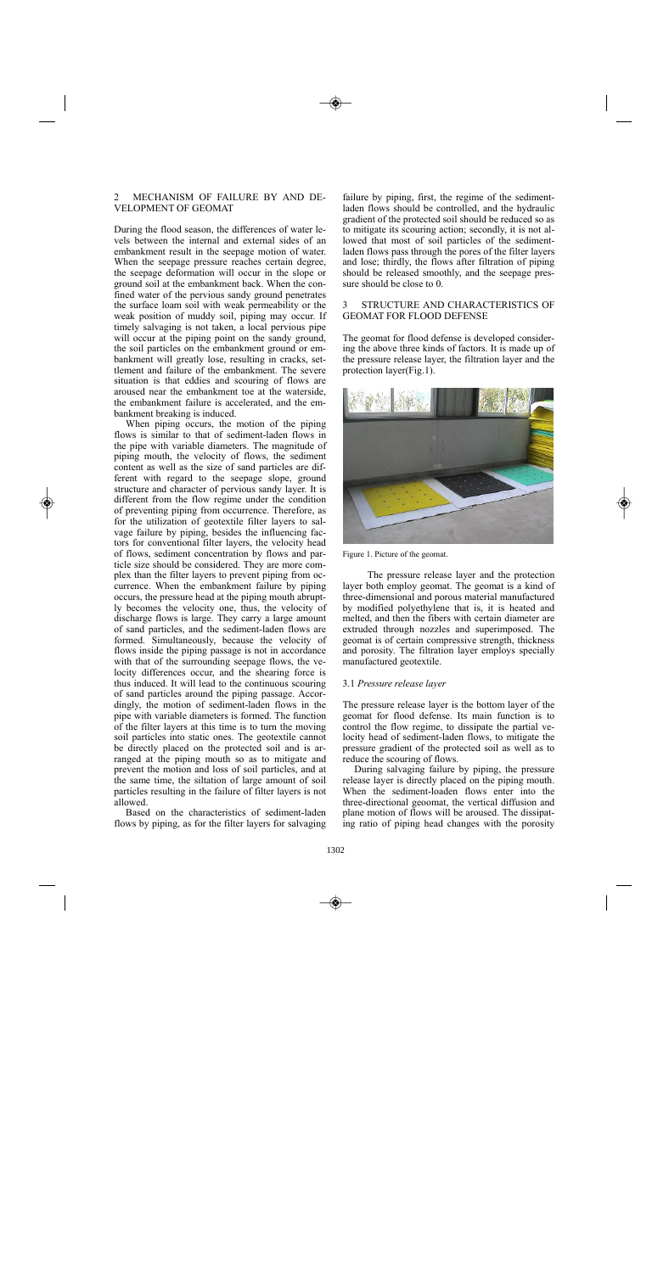## 2 MECHANISM OF FAILURE BY AND DE-VELOPMENT OF GEOMAT

During the flood season, the differences of water levels between the internal and external sides of an embankment result in the seepage motion of water. When the seepage pressure reaches certain degree, the seepage deformation will occur in the slope or ground soil at the embankment back. When the confined water of the pervious sandy ground penetrates the surface loam soil with weak permeability or the weak position of muddy soil, piping may occur. If timely salvaging is not taken, a local pervious pipe will occur at the piping point on the sandy ground, the soil particles on the embankment ground or embankment will greatly lose, resulting in cracks, settlement and failure of the embankment. The severe situation is that eddies and scouring of flows are aroused near the embankment toe at the waterside, the embankment failure is accelerated, and the embankment breaking is induced.

When piping occurs, the motion of the piping flows is similar to that of sediment-laden flows in the pipe with variable diameters. The magnitude of piping mouth, the velocity of flows, the sediment content as well as the size of sand particles are different with regard to the seepage slope, ground structure and character of pervious sandy layer. It is different from the flow regime under the condition of preventing piping from occurrence. Therefore, as for the utilization of geotextile filter layers to salvage failure by piping, besides the influencing factors for conventional filter layers, the velocity head of flows, sediment concentration by flows and particle size should be considered. They are more complex than the filter layers to prevent piping from occurrence. When the embankment failure by piping occurs, the pressure head at the piping mouth abruptly becomes the velocity one, thus, the velocity of discharge flows is large. They carry a large amount of sand particles, and the sediment-laden flows are formed. Simultaneously, because the velocity of flows inside the piping passage is not in accordance with that of the surrounding seepage flows, the velocity differences occur, and the shearing force is thus induced. It will lead to the continuous scouring of sand particles around the piping passage. Accordingly, the motion of sediment-laden flows in the pipe with variable diameters is formed. The function of the filter layers at this time is to turn the moving soil particles into static ones. The geotextile cannot be directly placed on the protected soil and is arranged at the piping mouth so as to mitigate and prevent the motion and loss of soil particles, and at the same time, the siltation of large amount of soil particles resulting in the failure of filter layers is not allowed.

Based on the characteristics of sediment-laden flows by piping, as for the filter layers for salvaging

failure by piping, first, the regime of the sedimentladen flows should be controlled, and the hydraulic gradient of the protected soil should be reduced so as to mitigate its scouring action; secondly, it is not allowed that most of soil particles of the sedimentladen flows pass through the pores of the filter layers and lose; thirdly, the flows after filtration of piping should be released smoothly, and the seepage pressure should be close to 0.

## 3 STRUCTURE AND CHARACTERISTICS OF GEOMAT FOR FLOOD DEFENSE

The geomat for flood defense is developed considering the above three kinds of factors. It is made up of the pressure release layer, the filtration layer and the protection layer(Fig.1).



Figure 1. Picture of the geomat.

The pressure release layer and the protection layer both employ geomat. The geomat is a kind of three-dimensional and porous material manufactured by modified polyethylene that is, it is heated and melted, and then the fibers with certain diameter are extruded through nozzles and superimposed. The geomat is of certain compressive strength, thickness and porosity. The filtration layer employs specially manufactured geotextile.

## 3.1 *Pressure release layer*

The pressure release layer is the bottom layer of the geomat for flood defense. Its main function is to control the flow regime, to dissipate the partial velocity head of sediment-laden flows, to mitigate the pressure gradient of the protected soil as well as to reduce the scouring of flows.

During salvaging failure by piping, the pressure release layer is directly placed on the piping mouth. When the sediment-loaden flows enter into the three-directional geoomat, the vertical diffusion and plane motion of flows will be aroused. The dissipating ratio of piping head changes with the porosity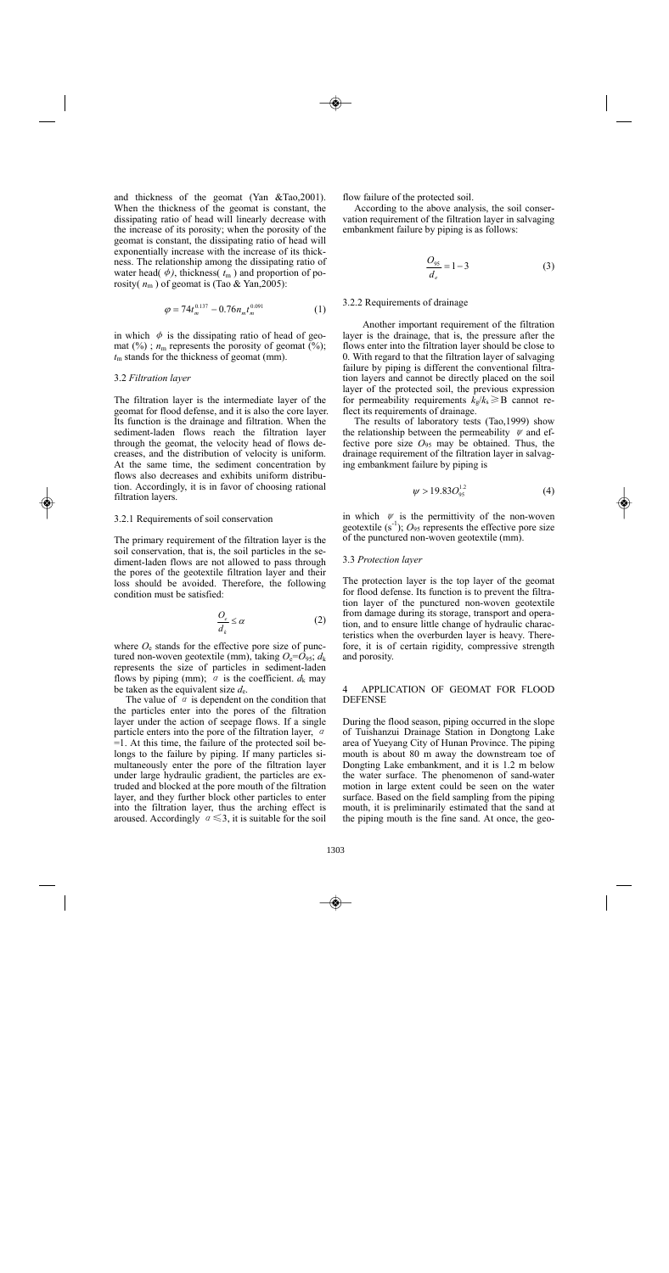and thickness of the geomat (Yan &Tao,2001). When the thickness of the geomat is constant, the dissipating ratio of head will linearly decrease with the increase of its porosity; when the porosity of the geomat is constant, the dissipating ratio of head will exponentially increase with the increase of its thickness. The relationship among the dissipating ratio of water head( $\phi$ ), thickness( $t_m$ ) and proportion of porosity( $n<sub>m</sub>$ ) of geomat is (Tao & Yan, 2005):

$$
\varphi = 74t_m^{0.137} - 0.76n_m t_m^{0.091} \tag{1}
$$

in which  $\phi$  is the dissipating ratio of head of geomat  $(\%)$ ;  $n_m$  represents the porosity of geomat  $(\%)$ ; *t*m stands for the thickness of geomat (mm).

## 3.2 *Filtration layer*

The filtration layer is the intermediate layer of the geomat for flood defense, and it is also the core layer. Its function is the drainage and filtration. When the sediment-laden flows reach the filtration layer through the geomat, the velocity head of flows decreases, and the distribution of velocity is uniform. At the same time, the sediment concentration by flows also decreases and exhibits uniform distribution. Accordingly, it is in favor of choosing rational filtration layers.

## 3.2.1 Requirements of soil conservation

The primary requirement of the filtration layer is the soil conservation, that is, the soil particles in the sediment-laden flows are not allowed to pass through the pores of the geotextile filtration layer and their loss should be avoided. Therefore, the following condition must be satisfied:

$$
\frac{O_e}{d_k} \le \alpha \tag{2}
$$

where  $O_e$  stands for the effective pore size of punctured non-woven geotextile (mm), taking  $O_e = O_{95}$ ;  $d_k$ represents the size of particles in sediment-laden flows by piping (mm);  $\alpha$  is the coefficient.  $d_k$  may be taken as the equivalent size  $d_e$ .

The value of  $\alpha$  is dependent on the condition that the particles enter into the pores of the filtration layer under the action of seepage flows. If a single particle enters into the pore of the filtration layer,  $\alpha$ =1. At this time, the failure of the protected soil belongs to the failure by piping. If many particles simultaneously enter the pore of the filtration layer under large hydraulic gradient, the particles are extruded and blocked at the pore mouth of the filtration layer, and they further block other particles to enter into the filtration layer, thus the arching effect is aroused. Accordingly  $a \leq 3$ , it is suitable for the soil

flow failure of the protected soil.

According to the above analysis, the soil conservation requirement of the filtration layer in salvaging embankment failure by piping is as follows:

$$
\frac{O_{95}}{d_e} = 1 - 3\tag{3}
$$

## 3.2.2 Requirements of drainage

Another important requirement of the filtration layer is the drainage, that is, the pressure after the flows enter into the filtration layer should be close to 0. With regard to that the filtration layer of salvaging failure by piping is different the conventional filtration layers and cannot be directly placed on the soil layer of the protected soil, the previous expression for permeability requirements  $k_{g}/k_{s} \geq B$  cannot reflect its requirements of drainage.

The results of laboratory tests (Tao,1999) show the relationship between the permeability  $\psi$  and effective pore size *O*95 may be obtained. Thus, the drainage requirement of the filtration layer in salvaging embankment failure by piping is

$$
\psi > 19.83O_{95}^{1.2} \tag{4}
$$

in which  $\psi$  is the permittivity of the non-woven geotextile  $(s^{-1})$ ;  $O_{95}$  represents the effective pore size of the punctured non-woven geotextile (mm).

#### 3.3 *Protection layer*

The protection layer is the top layer of the geomat for flood defense. Its function is to prevent the filtration layer of the punctured non-woven geotextile from damage during its storage, transport and operation, and to ensure little change of hydraulic characteristics when the overburden layer is heavy. Therefore, it is of certain rigidity, compressive strength and porosity.

# 4 APPLICATION OF GEOMAT FOR FLOOD DEFENSE

During the flood season, piping occurred in the slope of Tuishanzui Drainage Station in Dongtong Lake area of Yueyang City of Hunan Province. The piping mouth is about 80 m away the downstream toe of Dongting Lake embankment, and it is 1.2 m below the water surface. The phenomenon of sand-water motion in large extent could be seen on the water surface. Based on the field sampling from the piping mouth, it is preliminarily estimated that the sand at the piping mouth is the fine sand. At once, the geo-